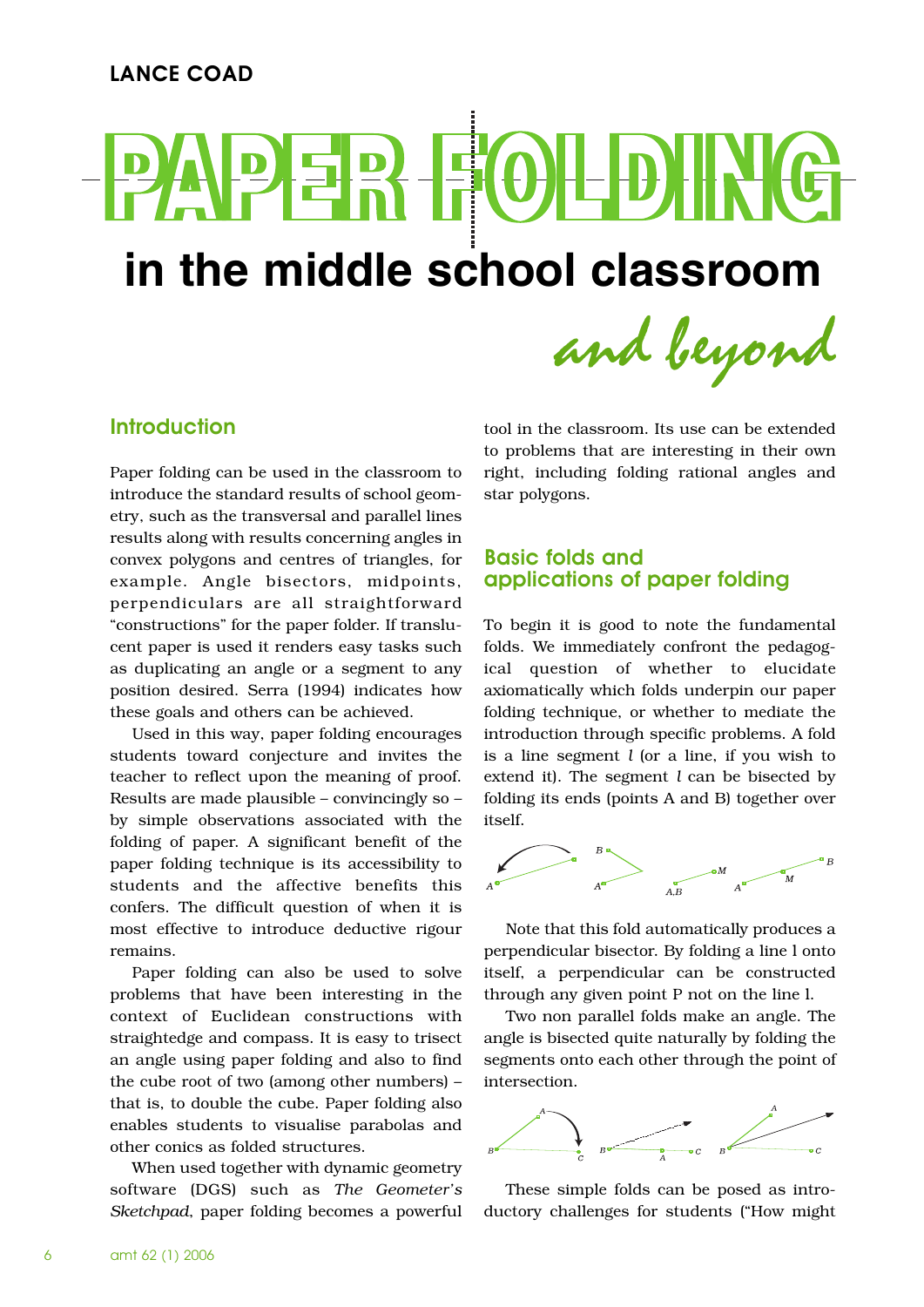# <u>D)</u> **in the middle school classroom and beyond**

Introduction

Paper folding can be used in the classroom to introduce the standard results of school geometry, such as the transversal and parallel lines results along with results concerning angles in convex polygons and centres of triangles, for example. Angle bisectors, midpoints, perpendiculars are all straightforward "constructions" for the paper folder. If translucent paper is used it renders easy tasks such as duplicating an angle or a segment to any position desired. Serra (1994) indicates how these goals and others can be achieved.

Used in this way, paper folding encourages students toward conjecture and invites the teacher to reflect upon the meaning of proof. Results are made plausible – convincingly so – by simple observations associated with the folding of paper. A significant benefit of the paper folding technique is its accessibility to students and the affective benefits this confers. The difficult question of when it is most effective to introduce deductive rigour remains.

Paper folding can also be used to solve problems that have been interesting in the context of Euclidean constructions with straightedge and compass. It is easy to trisect an angle using paper folding and also to find the cube root of two (among other numbers) – that is, to double the cube. Paper folding also enables students to visualise parabolas and other conics as folded structures.

When used together with dynamic geometry software (DGS) such as *The Geometer's Sketchpad*, paper folding becomes a powerful

tool in the classroom. Its use can be extended to problems that are interesting in their own right, including folding rational angles and star polygons.

# Basic folds and applications of paper folding

To begin it is good to note the fundamental folds. We immediately confront the pedagogical question of whether to elucidate axiomatically which folds underpin our paper folding technique, or whether to mediate the introduction through specific problems. A fold is a line segment *l* (or a line, if you wish to extend it). The segment *l* can be bisected by folding its ends (points A and B) together over itself.



Note that this fold automatically produces a perpendicular bisector. By folding a line l onto itself, a perpendicular can be constructed through any given point P not on the line l.

Two non parallel folds make an angle. The angle is bisected quite naturally by folding the segments onto each other through the point of intersection.



These simple folds can be posed as introductory challenges for students ("How might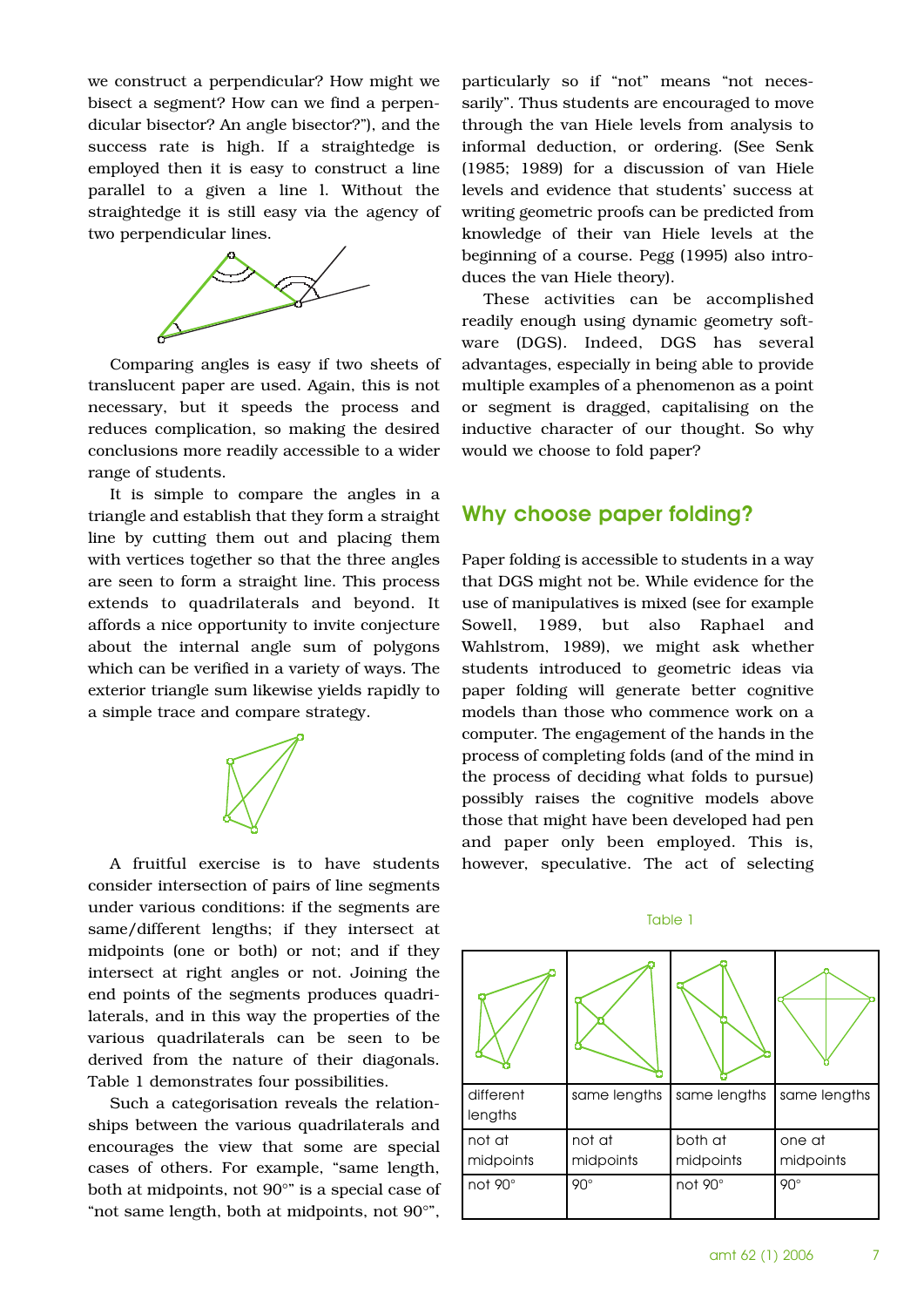we construct a perpendicular? How might we bisect a segment? How can we find a perpendicular bisector? An angle bisector?"), and the success rate is high. If a straightedge is employed then it is easy to construct a line parallel to a given a line l. Without the straightedge it is still easy via the agency of two perpendicular lines.



Comparing angles is easy if two sheets of translucent paper are used. Again, this is not necessary, but it speeds the process and reduces complication, so making the desired conclusions more readily accessible to a wider range of students.

It is simple to compare the angles in a triangle and establish that they form a straight line by cutting them out and placing them with vertices together so that the three angles are seen to form a straight line. This process extends to quadrilaterals and beyond. It affords a nice opportunity to invite conjecture about the internal angle sum of polygons which can be verified in a variety of ways. The exterior triangle sum likewise yields rapidly to a simple trace and compare strategy.



A fruitful exercise is to have students consider intersection of pairs of line segments under various conditions: if the segments are same/different lengths; if they intersect at midpoints (one or both) or not; and if they intersect at right angles or not. Joining the end points of the segments produces quadrilaterals, and in this way the properties of the various quadrilaterals can be seen to be derived from the nature of their diagonals. Table 1 demonstrates four possibilities.

Such a categorisation reveals the relationships between the various quadrilaterals and encourages the view that some are special cases of others. For example, "same length, both at midpoints, not 90°" is a special case of "not same length, both at midpoints, not 90°",

particularly so if "not" means "not necessarily". Thus students are encouraged to move through the van Hiele levels from analysis to informal deduction, or ordering. (See Senk (1985; 1989) for a discussion of van Hiele levels and evidence that students' success at writing geometric proofs can be predicted from knowledge of their van Hiele levels at the beginning of a course. Pegg (1995) also introduces the van Hiele theory).

These activities can be accomplished readily enough using dynamic geometry software (DGS). Indeed, DGS has several advantages, especially in being able to provide multiple examples of a phenomenon as a point or segment is dragged, capitalising on the inductive character of our thought. So why would we choose to fold paper?

#### Why choose paper folding?

Paper folding is accessible to students in a way that DGS might not be. While evidence for the use of manipulatives is mixed (see for example Sowell, 1989, but also Raphael and Wahlstrom, 1989), we might ask whether students introduced to geometric ideas via paper folding will generate better cognitive models than those who commence work on a computer. The engagement of the hands in the process of completing folds (and of the mind in the process of deciding what folds to pursue) possibly raises the cognitive models above those that might have been developed had pen and paper only been employed. This is, however, speculative. The act of selecting

#### Table 1

| different<br>lengths | same lengths        | same lengths         | same lengths        |
|----------------------|---------------------|----------------------|---------------------|
| not at<br>midpoints  | not at<br>midpoints | both at<br>midpoints | one at<br>midpoints |
| $not 90^\circ$       | $90^\circ$          | not 90°              | $90^\circ$          |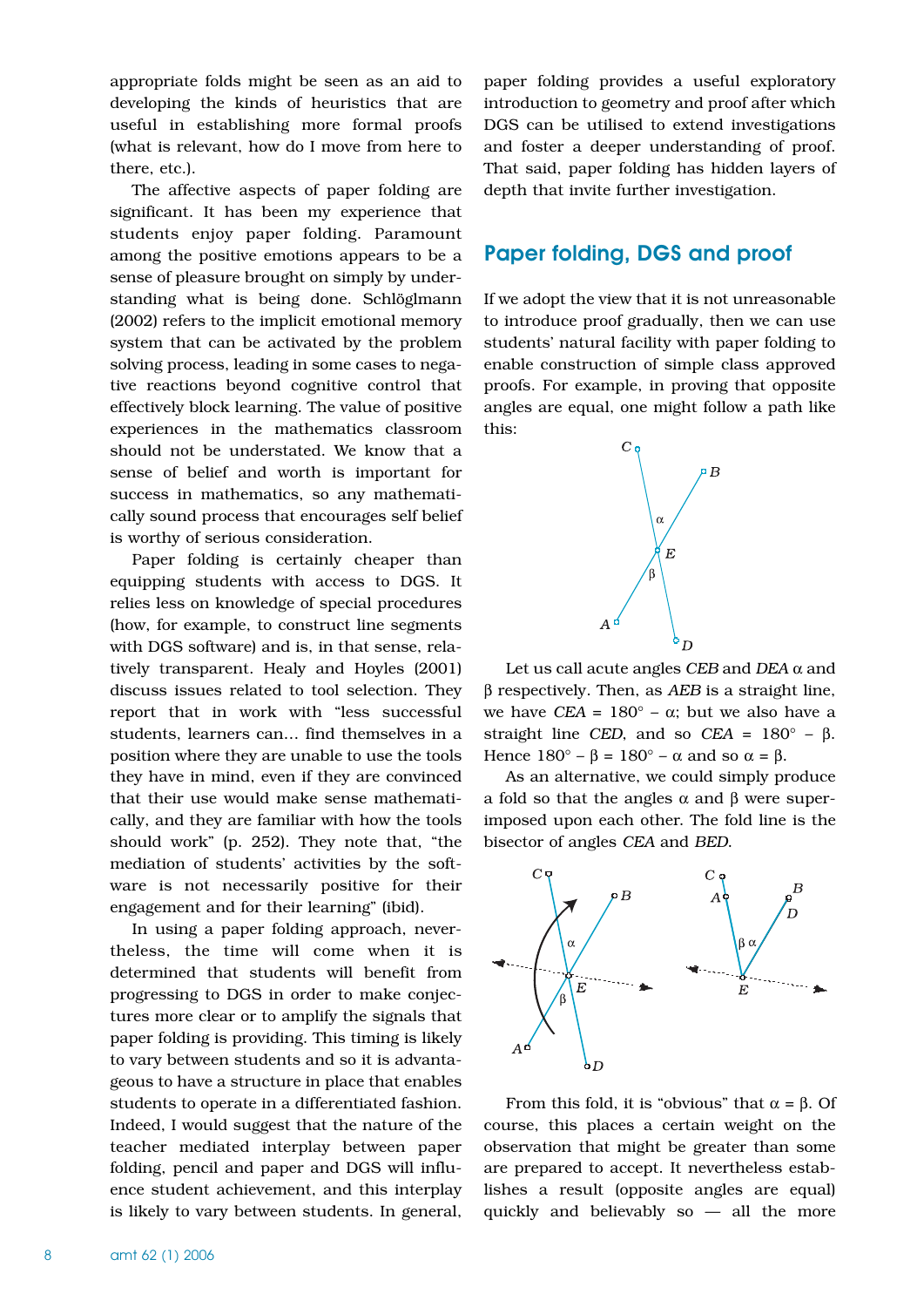appropriate folds might be seen as an aid to developing the kinds of heuristics that are useful in establishing more formal proofs (what is relevant, how do I move from here to there, etc.).

The affective aspects of paper folding are significant. It has been my experience that students enjoy paper folding. Paramount among the positive emotions appears to be a sense of pleasure brought on simply by understanding what is being done. Schlöglmann (2002) refers to the implicit emotional memory system that can be activated by the problem solving process, leading in some cases to negative reactions beyond cognitive control that effectively block learning. The value of positive experiences in the mathematics classroom should not be understated. We know that a sense of belief and worth is important for success in mathematics, so any mathematically sound process that encourages self belief is worthy of serious consideration.

Paper folding is certainly cheaper than equipping students with access to DGS. It relies less on knowledge of special procedures (how, for example, to construct line segments with DGS software) and is, in that sense, relatively transparent. Healy and Hoyles (2001) discuss issues related to tool selection. They report that in work with "less successful students, learners can… find themselves in a position where they are unable to use the tools they have in mind, even if they are convinced that their use would make sense mathematically, and they are familiar with how the tools should work" (p. 252). They note that, "the mediation of students' activities by the software is not necessarily positive for their engagement and for their learning" (ibid).

In using a paper folding approach, nevertheless, the time will come when it is determined that students will benefit from progressing to DGS in order to make conjectures more clear or to amplify the signals that paper folding is providing. This timing is likely to vary between students and so it is advantageous to have a structure in place that enables students to operate in a differentiated fashion. Indeed, I would suggest that the nature of the teacher mediated interplay between paper folding, pencil and paper and DGS will influence student achievement, and this interplay is likely to vary between students. In general,

paper folding provides a useful exploratory introduction to geometry and proof after which DGS can be utilised to extend investigations and foster a deeper understanding of proof. That said, paper folding has hidden layers of depth that invite further investigation.

# Paper folding, DGS and proof

If we adopt the view that it is not unreasonable to introduce proof gradually, then we can use students' natural facility with paper folding to enable construction of simple class approved proofs. For example, in proving that opposite angles are equal, one might follow a path like this:



Let us call acute angles *CEB* and *DEA* α and β respectively. Then, as *AEB* is a straight line, we have *CEA* =  $180^\circ$  –  $\alpha$ ; but we also have a straight line *CED*, and so *CEA* =  $180^\circ$  –  $\beta$ . Hence  $180^\circ - \beta = 180^\circ - \alpha$  and so  $\alpha = \beta$ .

As an alternative, we could simply produce a fold so that the angles α and β were superimposed upon each other. The fold line is the bisector of angles *CEA* and *BED*.



From this fold, it is "obvious" that  $\alpha = \beta$ . Of course, this places a certain weight on the observation that might be greater than some are prepared to accept. It nevertheless establishes a result (opposite angles are equal) quickly and believably so — all the more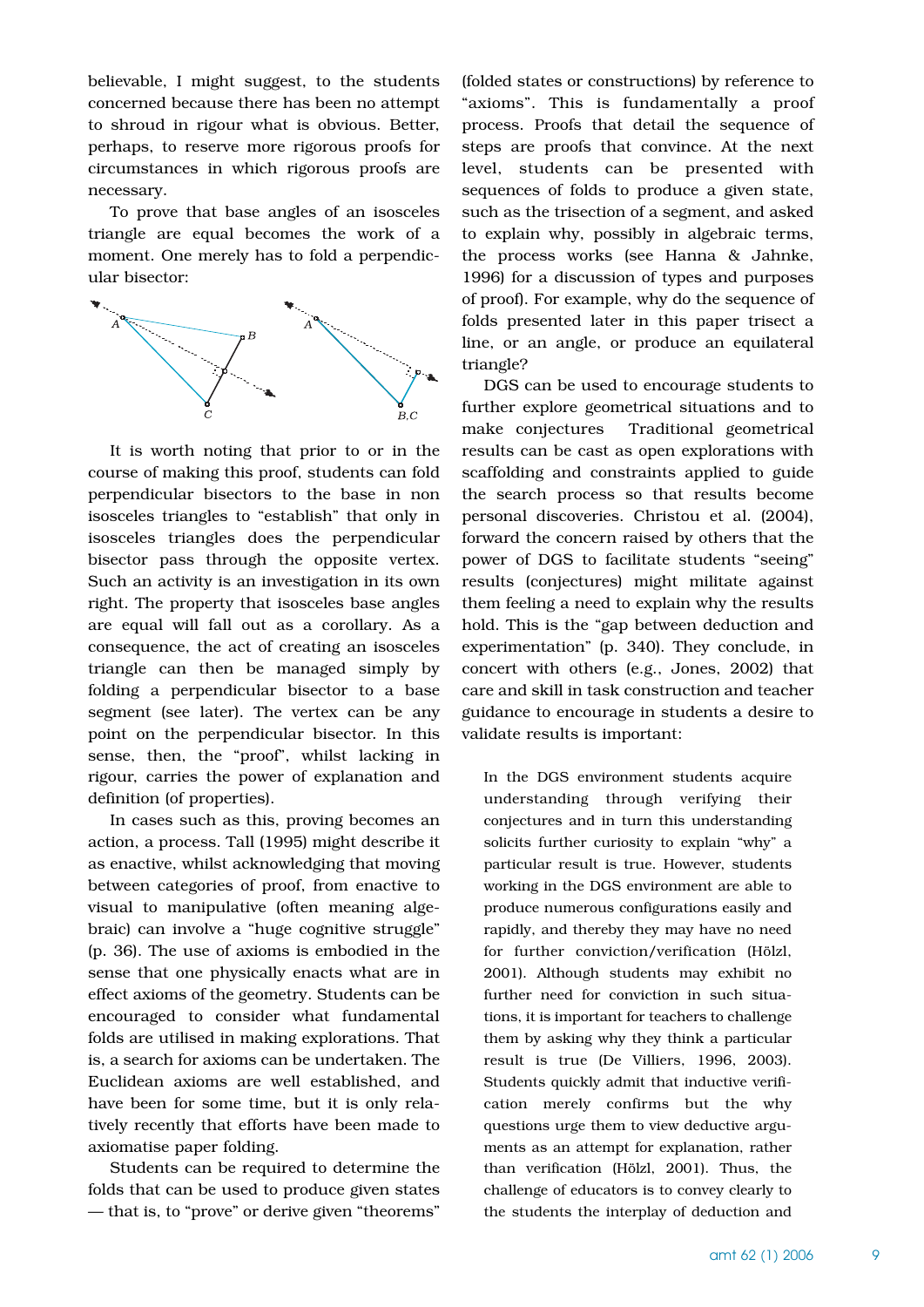believable, I might suggest, to the students concerned because there has been no attempt to shroud in rigour what is obvious. Better, perhaps, to reserve more rigorous proofs for circumstances in which rigorous proofs are necessary.

To prove that base angles of an isosceles triangle are equal becomes the work of a moment. One merely has to fold a perpendicular bisector:



It is worth noting that prior to or in the course of making this proof, students can fold perpendicular bisectors to the base in non isosceles triangles to "establish" that only in isosceles triangles does the perpendicular bisector pass through the opposite vertex. Such an activity is an investigation in its own right. The property that isosceles base angles are equal will fall out as a corollary. As a consequence, the act of creating an isosceles triangle can then be managed simply by folding a perpendicular bisector to a base segment (see later). The vertex can be any point on the perpendicular bisector. In this sense, then, the "proof", whilst lacking in rigour, carries the power of explanation and definition (of properties).

In cases such as this, proving becomes an action, a process. Tall (1995) might describe it as enactive, whilst acknowledging that moving between categories of proof, from enactive to visual to manipulative (often meaning algebraic) can involve a "huge cognitive struggle" (p. 36). The use of axioms is embodied in the sense that one physically enacts what are in effect axioms of the geometry. Students can be encouraged to consider what fundamental folds are utilised in making explorations. That is, a search for axioms can be undertaken. The Euclidean axioms are well established, and have been for some time, but it is only relatively recently that efforts have been made to axiomatise paper folding.

Students can be required to determine the folds that can be used to produce given states — that is, to "prove" or derive given "theorems"

(folded states or constructions) by reference to "axioms". This is fundamentally a proof process. Proofs that detail the sequence of steps are proofs that convince. At the next level, students can be presented with sequences of folds to produce a given state, such as the trisection of a segment, and asked to explain why, possibly in algebraic terms, the process works (see Hanna & Jahnke, 1996) for a discussion of types and purposes of proof). For example, why do the sequence of folds presented later in this paper trisect a line, or an angle, or produce an equilateral triangle?

DGS can be used to encourage students to further explore geometrical situations and to make conjectures Traditional geometrical results can be cast as open explorations with scaffolding and constraints applied to guide the search process so that results become personal discoveries. Christou et al. (2004), forward the concern raised by others that the power of DGS to facilitate students "seeing" results (conjectures) might militate against them feeling a need to explain why the results hold. This is the "gap between deduction and experimentation" (p. 340). They conclude, in concert with others (e.g., Jones, 2002) that care and skill in task construction and teacher guidance to encourage in students a desire to validate results is important:

In the DGS environment students acquire understanding through verifying their conjectures and in turn this understanding solicits further curiosity to explain "why" a particular result is true. However, students working in the DGS environment are able to produce numerous configurations easily and rapidly, and thereby they may have no need for further conviction/verification (Hölzl, 2001). Although students may exhibit no further need for conviction in such situations, it is important for teachers to challenge them by asking why they think a particular result is true (De Villiers, 1996, 2003). Students quickly admit that inductive verification merely confirms but the why questions urge them to view deductive arguments as an attempt for explanation, rather than verification (Hölzl, 2001). Thus, the challenge of educators is to convey clearly to the students the interplay of deduction and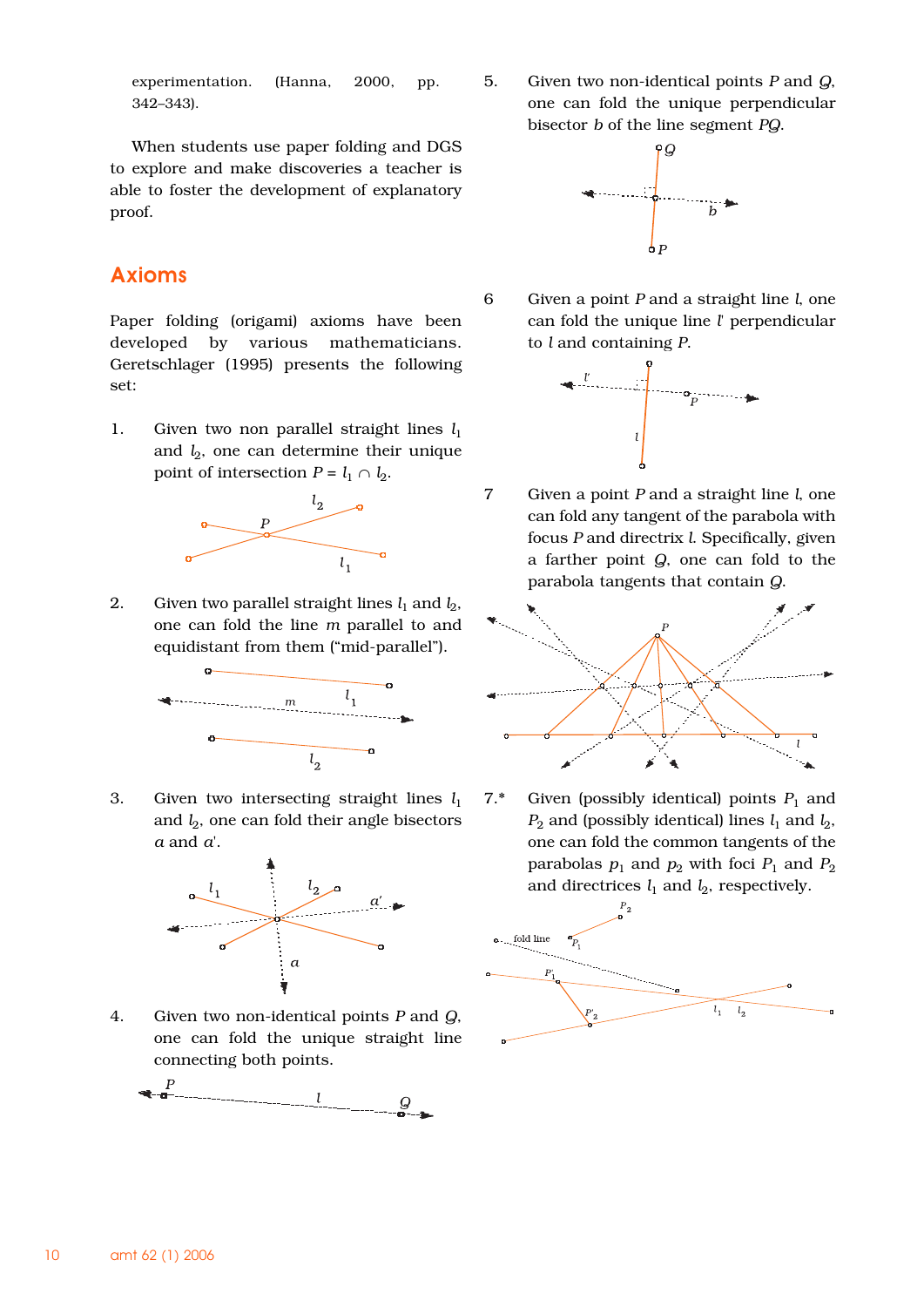experimentation. (Hanna, 2000, pp. 342–343).

When students use paper folding and DGS to explore and make discoveries a teacher is able to foster the development of explanatory proof.

# Axioms

Paper folding (origami) axioms have been developed by various mathematicians. Geretschlager (1995) presents the following set:

1. Given two non parallel straight lines  $l_1$ and  $l_2$ , one can determine their unique point of intersection  $P = l_1 \cap l_2$ .



2. Given two parallel straight lines  $l_1$  and  $l_2$ , one can fold the line *m* parallel to and equidistant from them ("mid-parallel").



3. Given two intersecting straight lines *l*<sup>1</sup> and  $l_2$ , one can fold their angle bisectors *a* and *a*'.



4. Given two non-identical points *P* and *Q*, one can fold the unique straight line connecting both points.



5. Given two non-identical points *P* and *Q*, one can fold the unique perpendicular bisector *b* of the line segment *PQ*.



6 Given a point *P* and a straight line *l*, one can fold the unique line *l*' perpendicular to *l* and containing *P*.



7 Given a point *P* and a straight line *l*, one can fold any tangent of the parabola with focus *P* and directrix *l*. Specifically, given a farther point *Q*, one can fold to the parabola tangents that contain *Q*.



7.\* Given (possibly identical) points  $P_1$  and  $P_2$  and (possibly identical) lines  $l_1$  and  $l_2$ , one can fold the common tangents of the parabolas  $p_1$  and  $p_2$  with foci  $P_1$  and  $P_2$ and directrices  $l_1$  and  $l_2$ , respectively.

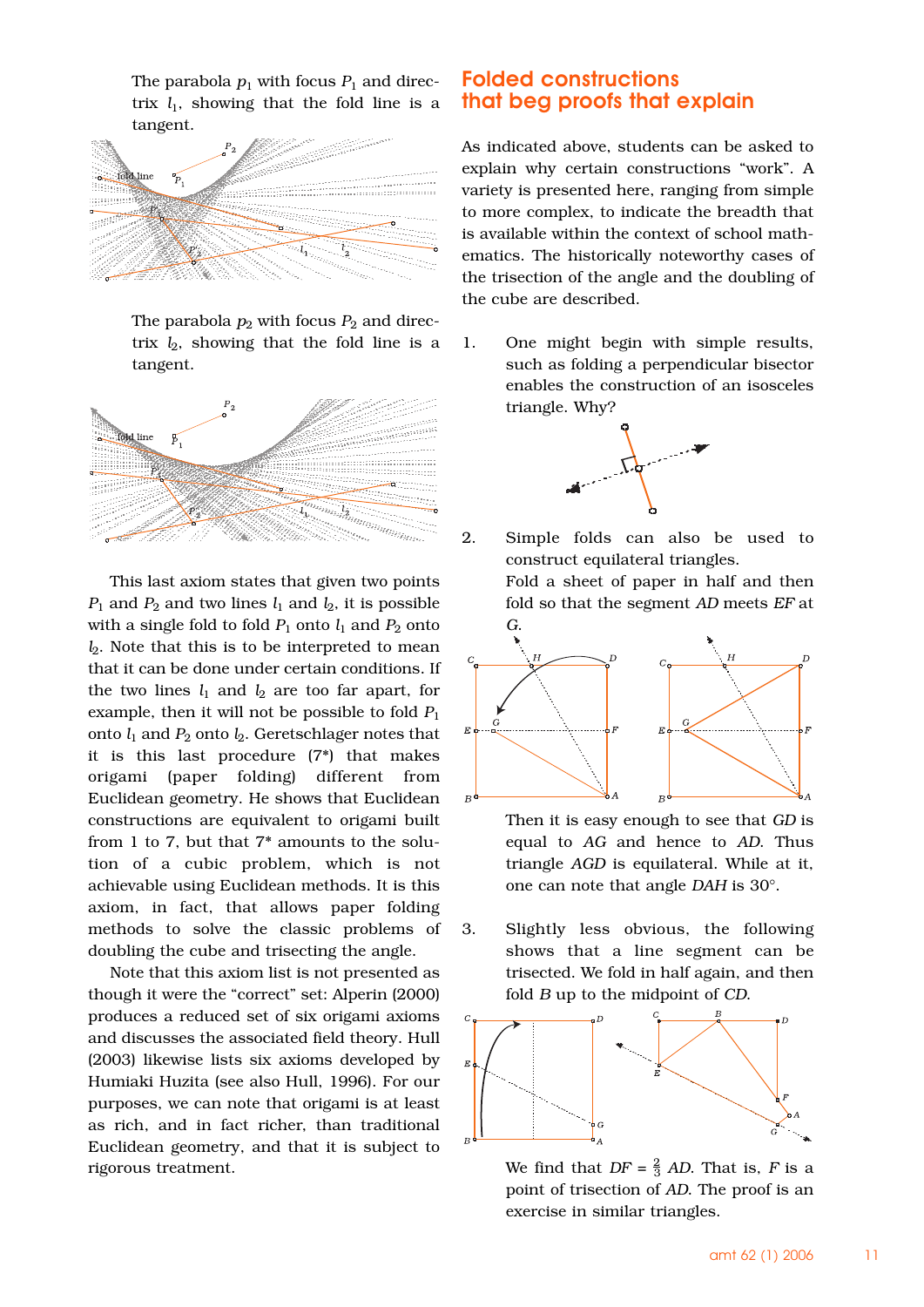The parabola  $p_1$  with focus  $P_1$  and directrix  $l_1$ , showing that the fold line is a tangent.



The parabola  $p_2$  with focus  $P_2$  and directrix  $l_2$ , showing that the fold line is a tangent.



This last axiom states that given two points  $P_1$  and  $P_2$  and two lines  $l_1$  and  $l_2$ , it is possible with a single fold to fold  $P_1$  onto  $l_1$  and  $P_2$  onto *l*<sub>2</sub>. Note that this is to be interpreted to mean that it can be done under certain conditions. If the two lines  $l_1$  and  $l_2$  are too far apart, for example, then it will not be possible to fold  $P_1$ onto  $l_1$  and  $P_2$  onto  $l_2$ . Geretschlager notes that it is this last procedure (7\*) that makes origami (paper folding) different from Euclidean geometry. He shows that Euclidean constructions are equivalent to origami built from 1 to 7, but that 7\* amounts to the solution of a cubic problem, which is not achievable using Euclidean methods. It is this axiom, in fact, that allows paper folding methods to solve the classic problems of doubling the cube and trisecting the angle.

Note that this axiom list is not presented as though it were the "correct" set: Alperin (2000) produces a reduced set of six origami axioms and discusses the associated field theory. Hull (2003) likewise lists six axioms developed by Humiaki Huzita (see also Hull, 1996). For our purposes, we can note that origami is at least as rich, and in fact richer, than traditional Euclidean geometry, and that it is subject to rigorous treatment.

#### Folded constructions that beg proofs that explain

As indicated above, students can be asked to explain why certain constructions "work". A variety is presented here, ranging from simple to more complex, to indicate the breadth that is available within the context of school mathematics. The historically noteworthy cases of the trisection of the angle and the doubling of the cube are described.

1. One might begin with simple results, such as folding a perpendicular bisector enables the construction of an isosceles triangle. Why?



2. Simple folds can also be used to construct equilateral triangles. Fold a sheet of paper in half and then



Then it is easy enough to see that *GD* is equal to *AG* and hence to *AD*. Thus triangle *AGD* is equilateral. While at it, one can note that angle *DAH* is 30°.

3. Slightly less obvious, the following shows that a line segment can be trisected. We fold in half again, and then fold *B* up to the midpoint of *CD*.



We find that  $DF = \frac{2}{3}$  AD. That is, *F* is a point of trisection of *AD*. The proof is an exercise in similar triangles.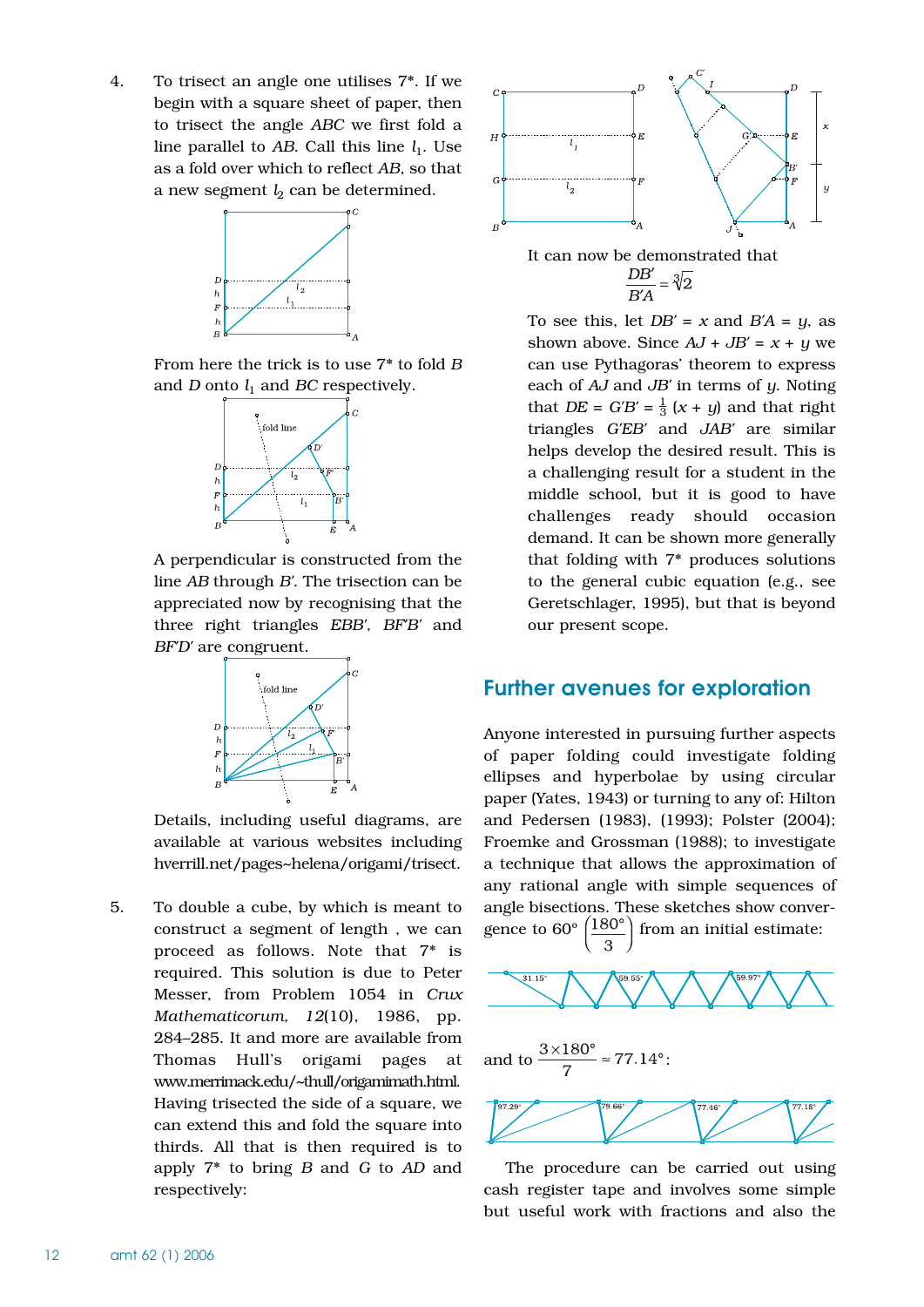4. To trisect an angle one utilises 7\*. If we begin with a square sheet of paper, then to trisect the angle *ABC* we first fold a line parallel to  $AB$ . Call this line  $l_1$ . Use as a fold over which to reflect *AB*, so that a new segment  $l_2$  can be determined.



From here the trick is to use 7\* to fold *B* and *D* onto  $l_1$  and *BC* respectively.



A perpendicular is constructed from the line *AB* through *B'*. The trisection can be appreciated now by recognising that the three right triangles *EBB'*, *BF'B'* and *BF'D'* are congruent.



Details, including useful diagrams, are available at various websites including hverrill.net/pages~helena/origami/trisect.

5. To double a cube, by which is meant to construct a segment of length , we can proceed as follows. Note that 7\* is required. This solution is due to Peter Messer, from Problem 1054 in *Crux Mathematicorum, 12*(10), 1986, pp. 284–285. It and more are available from Thomas Hull's origami pages at www.merrimack.edu/~thull/origamimath.html. Having trisected the side of a square, we can extend this and fold the square into thirds. All that is then required is to apply 7\* to bring *B* and *G* to *AD* and respectively:



To see this, let  $DB' = x$  and  $B'A = y$ , as shown above. Since  $AJ + JB' = x + y$  we can use Pythagoras' theorem to express each of *AJ* and *JB'* in terms of *y*. Noting that *DE* =  $G'B' = \frac{1}{3}(x + y)$  and that right triangles *G'EB'* and *JAB'* are similar helps develop the desired result. This is a challenging result for a student in the middle school, but it is good to have challenges ready should occasion demand. It can be shown more generally that folding with 7\* produces solutions to the general cubic equation (e.g., see Geretschlager, 1995), but that is beyond our present scope.

## Further avenues for exploration

Anyone interested in pursuing further aspects of paper folding could investigate folding ellipses and hyperbolae by using circular paper (Yates, 1943) or turning to any of: Hilton and Pedersen (1983), (1993); Polster (2004); Froemke and Grossman (1988); to investigate a technique that allows the approximation of any rational angle with simple sequences of angle bisections. These sketches show convergence to  $60^{\circ}$   $\left(\frac{180^{\circ}}{180^{\circ}}\right)$  from an initial estimate:



The procedure can be carried out using cash register tape and involves some simple but useful work with fractions and also the